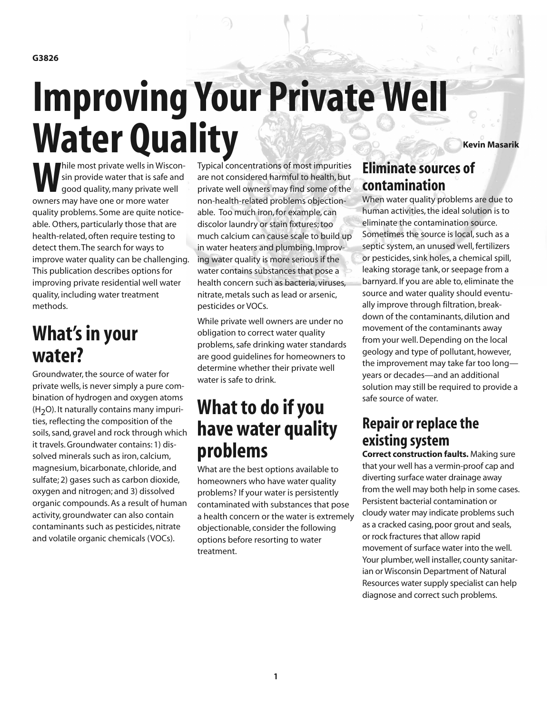**G3826**

# **Improving Your Private Well** Water Quality

**While most private wells in Wiscon-**<br>sin provide water that is safe and<br>good quality, many private well sin provide water that is safe and good quality, many private well owners may have one or more water quality problems. Some are quite noticeable. Others, particularly those that are health-related, often require testing to detect them.The search for ways to improve water quality can be challenging. This publication describes options for improving private residential well water quality, including water treatment methods.

# **What'sin your water?**

Groundwater,the source of water for private wells, is never simply a pure combination of hydrogen and oxygen atoms  $(H<sub>2</sub>O)$ . It naturally contains many impurities, reflecting the composition of the soils, sand, gravel and rock through which it travels.Groundwater contains: 1) dissolved minerals such as iron, calcium, magnesium, bicarbonate, chloride, and sulfate; 2) gases such as carbon dioxide, oxygen and nitrogen; and 3) dissolved organic compounds.As a result of human activity, groundwater can also contain contaminants such as pesticides, nitrate and volatile organic chemicals (VOCs).

Typical concentrations of most impurities are not considered harmful to health, but private well owners may find some of the non-health-related problems objectionable. Too much iron,for example, can discolor laundry or stain fixtures; too much calcium can cause scale to build up in water heaters and plumbing. Improving water quality is more serious if the water contains substances that pose a health concern such as bacteria, viruses, nitrate, metals such as lead or arsenic, pesticides or VOCs.

While private well owners are under no obligation to correct water quality problems, safe drinking water standards are good guidelines for homeowners to determine whether their private well water is safe to drink.

# **What to do ifyou have water quality problems**

What are the best options available to homeowners who have water quality problems? If your water is persistently contaminated with substances that pose a health concern or the water is extremely objectionable, consider the following options before resorting to water treatment.

## **Eliminate sources of contamination**

When water quality problems are due to human activities, the ideal solution is to eliminate the contamination source. Sometimes the source is local, such as a septic system, an unused well, fertilizers or pesticides, sink holes, a chemical spill, leaking storage tank, or seepage from a barnyard. If you are able to, eliminate the source and water quality should eventually improve through filtration, breakdown of the contaminants, dilution and movement of the contaminants away from your well.Depending on the local geology and type of pollutant, however, the improvement may take far too long years or decades—and an additional solution may still be required to provide a safe source of water.

## **Repair or replace the existing system**

**Correct construction faults.** Making sure that your well has a vermin-proof cap and diverting surface water drainage away from the well may both help in some cases. Persistent bacterial contamination or cloudy water may indicate problems such as a cracked casing, poor grout and seals, or rock fractures that allow rapid movement of surface water into the well. Your plumber, well installer, county sanitarian or Wisconsin Department of Natural Resources water supply specialist can help diagnose and correct such problems.

**Kevin Masarik**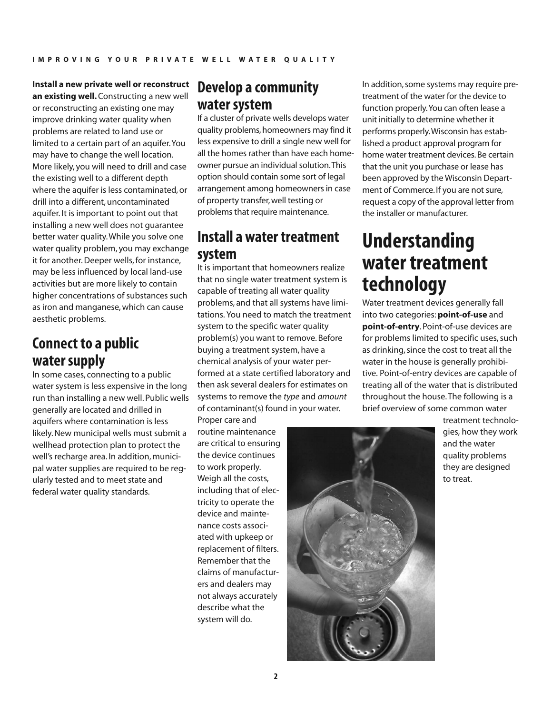**Install a new private well or reconstruct an existing well.**Constructing a new well or reconstructing an existing one may improve drinking water quality when problems are related to land use or limited to a certain part of an aquifer.You may have to change the well location. More likely, you will need to drill and case the existing well to a different depth where the aquifer is less contaminated, or drill into a different, uncontaminated aquifer. It is important to point out that installing a new well does not guarantee better water quality.While you solve one water quality problem, you may exchange it for another.Deeper wells,for instance, may be less influenced by local land-use activities but are more likely to contain higher concentrations of substances such as iron and manganese,which can cause aesthetic problems.

## **Connect to a public water supply**

In some cases, connecting to a public water system is less expensive in the long run than installing a new well. Public wells generally are located and drilled in aquifers where contamination is less likely.New municipal wells must submit a wellhead protection plan to protect the well's recharge area. In addition, municipal water supplies are required to be regularly tested and to meet state and federal water quality standards.

## **Develop a community water** system

If a cluster of private wells develops water quality problems, homeowners may find it less expensive to drill a single new well for all the homes rather than have each homeowner pursue an individual solution. This option should contain some sort of legal arrangement among homeowners in case of property transfer,well testing or problems that require maintenance.

## **Install a water treatment system**

It is important that homeowners realize that no single water treatment system is capable of treating all water quality problems, and that all systems have limitations. You need to match the treatment system to the specific water quality problem(s) you want to remove. Before buying a treatment system, have a chemical analysis of your water performed at a state certified laboratory and then ask several dealers for estimates on systems to remove the *type* and *amount* of contaminant(s) found in your water.

Proper care and routine maintenance are critical to ensuring the device continues to work properly. Weigh all the costs, including that of electricity to operate the device and maintenance costs associated with upkeep or replacement of filters. Remember that the claims of manufacturers and dealers may not always accurately describe what the system will do.

In addition, some systems may require pretreatment of the water for the device to function properly.You can often lease a unit initially to determine whether it performs properly.Wisconsin has established a product approval program for home water treatment devices.Be certain that the unit you purchase or lease has been approved by the Wisconsin Department of Commerce. If you are not sure, request a copy of the approval letter from the installer or manufacturer.

# **Understanding water treatment technology**

Water treatment devices generally fall into two categories:**point-of-use** and **point-of-entry**. Point-of-use devices are for problems limited to specific uses, such as drinking, since the cost to treat all the water in the house is generally prohibitive. Point-of-entry devices are capable of treating all of the water that is distributed throughout the house.The following is a brief overview of some common water



treatment technologies, how they work and the water quality problems they are designed to treat.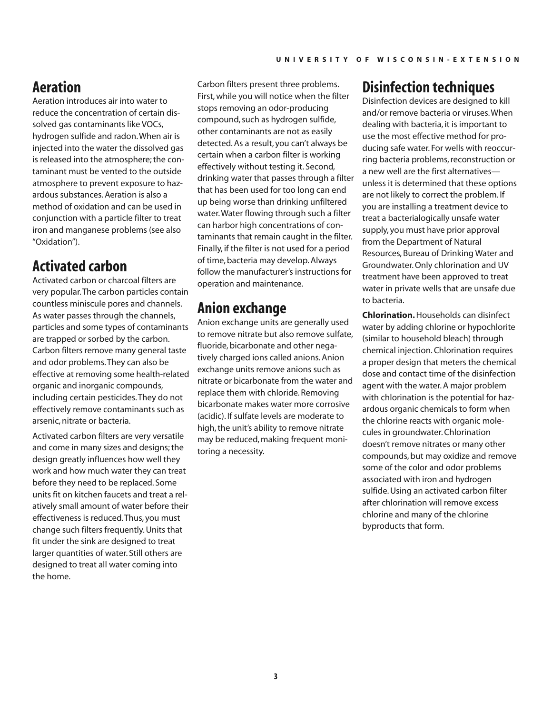## **Aeration**

Aeration introduces air into water to reduce the concentration of certain dissolved gas contaminants like VOCs, hydrogen sulfide and radon.When air is injected into the water the dissolved gas is released into the atmosphere; the contaminant must be vented to the outside atmosphere to prevent exposure to hazardous substances.Aeration is also a method of oxidation and can be used in conjunction with a particle filter to treat iron and manganese problems (see also "Oxidation").

## **Activated carbon**

Activated carbon or charcoal filters are very popular.The carbon particles contain countless miniscule pores and channels. As water passes through the channels, particles and some types of contaminants are trapped or sorbed by the carbon. Carbon filters remove many general taste and odor problems.They can also be effective at removing some health-related organic and inorganic compounds, including certain pesticides.They do not effectively remove contaminants such as arsenic, nitrate or bacteria.

Activated carbon filters are very versatile and come in many sizes and designs;the design greatly influences how well they work and how much water they can treat before they need to be replaced. Some units fit on kitchen faucets and treat a relatively small amount of water before their effectiveness is reduced.Thus, you must change such filters frequently.Units that fit under the sink are designed to treat larger quantities of water. Still others are designed to treat all water coming into the home.

Carbon filters present three problems. First,while you will notice when the filter stops removing an odor-producing compound, such as hydrogen sulfide, other contaminants are not as easily detected.As a result, you can't always be certain when a carbon filter is working effectively without testing it. Second, drinking water that passes through a filter that has been used for too long can end up being worse than drinking unfiltered water.Water flowing through such a filter can harbor high concentrations of contaminants that remain caught in the filter. Finally, if the filter is not used for a period of time, bacteria may develop.Always follow the manufacturer's instructions for operation and maintenance.

## **Anion exchange**

Anion exchange units are generally used to remove nitrate but also remove sulfate, fluoride, bicarbonate and other negatively charged ions called anions.Anion exchange units remove anions such as nitrate or bicarbonate from the water and replace them with chloride. Removing bicarbonate makes water more corrosive (acidic). If sulfate levels are moderate to high, the unit's ability to remove nitrate may be reduced, making frequent monitoring a necessity.

## **Disinfection techniques**

Disinfection devices are designed to kill and/or remove bacteria or viruses.When dealing with bacteria, it is important to use the most effective method for producing safe water. For wells with reoccurring bacteria problems, reconstruction or a new well are the first alternatives unless it is determined that these options are not likely to correct the problem. If you are installing a treatment device to treat a bacterialogically unsafe water supply, you must have prior approval from the Department of Natural Resources, Bureau of Drinking Water and Groundwater.Only chlorination and UV treatment have been approved to treat water in private wells that are unsafe due to bacteria.

**Chlorination.**Households can disinfect water by adding chlorine or hypochlorite (similar to household bleach) through chemical injection.Chlorination requires a proper design that meters the chemical dose and contact time of the disinfection agent with the water.A major problem with chlorination is the potential for hazardous organic chemicals to form when the chlorine reacts with organic molecules in groundwater.Chlorination doesn't remove nitrates or many other compounds, but may oxidize and remove some of the color and odor problems associated with iron and hydrogen sulfide. Using an activated carbon filter after chlorination will remove excess chlorine and many of the chlorine byproducts that form.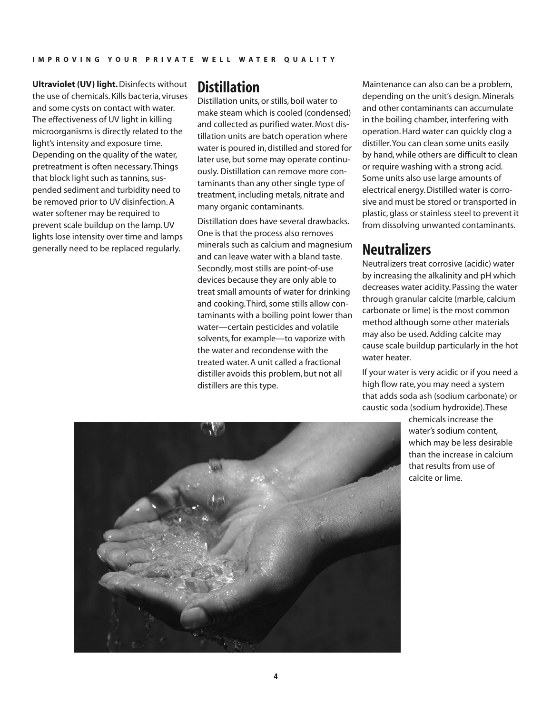**Ultraviolet (UV) light.**Disinfects without the use of chemicals. Kills bacteria, viruses and some cysts on contact with water. The effectiveness of UV light in killing microorganisms is directly related to the light's intensity and exposure time. Depending on the quality of the water, pretreatment is often necessary.Things that block light such as tannins, suspended sediment and turbidity need to be removed prior to UV disinfection.A water softener may be required to prevent scale buildup on the lamp.UV lights lose intensity over time and lamps generally need to be replaced regularly.

#### **Distillation**

Distillation units, or stills, boil water to make steam which is cooled (condensed) and collected as purified water. Most distillation units are batch operation where water is poured in, distilled and stored for later use, but some may operate continuously. Distillation can remove more contaminants than any other single type of treatment, including metals, nitrate and many organic contaminants.

Distillation does have several drawbacks. One is that the process also removes minerals such as calcium and magnesium and can leave water with a bland taste. Secondly, most stills are point-of-use devices because they are only able to treat small amounts of water for drinking and cooking. Third, some stills allow contaminants with a boiling point lower than water—certain pesticides and volatile solvents,for example—to vaporize with the water and recondense with the treated water.A unit called a fractional distiller avoids this problem, but not all distillers are this type.

Maintenance can also can be a problem, depending on the unit's design. Minerals and other contaminants can accumulate in the boiling chamber, interfering with operation.Hard water can quickly clog a distiller.You can clean some units easily by hand,while others are difficult to clean or require washing with a strong acid. Some units also use large amounts of electrical energy.Distilled water is corrosive and must be stored or transported in plastic, glass or stainless steel to prevent it from dissolving unwanted contaminants.

#### **Neutralizers**

Neutralizers treat corrosive (acidic) water by increasing the alkalinity and pH which decreases water acidity. Passing the water through granular calcite (marble, calcium carbonate or lime) is the most common method although some other materials may also be used.Adding calcite may cause scale buildup particularly in the hot water heater.

If your water is very acidic or if you need a high flow rate, you may need a system that adds soda ash (sodium carbonate) or caustic soda (sodium hydroxide).These

> chemicals increase the water's sodium content, which may be less desirable than the increase in calcium that results from use of calcite or lime.

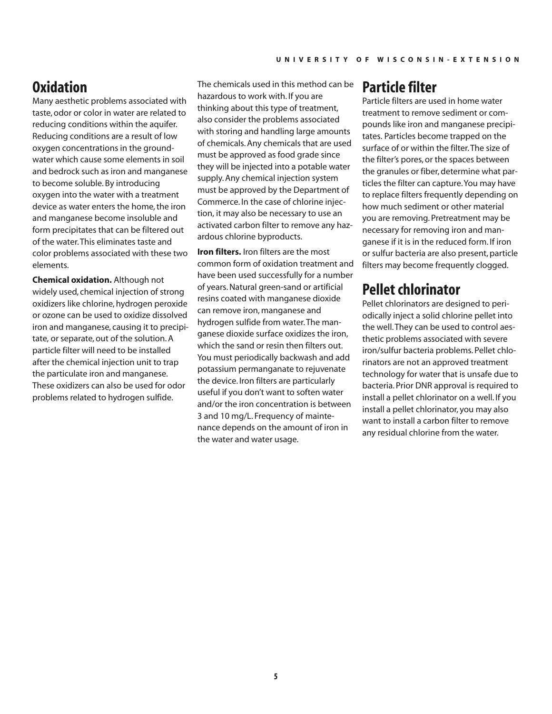## **Oxidation**

Many aesthetic problems associated with taste, odor or color in water are related to reducing conditions within the aquifer. Reducing conditions are a result of low oxygen concentrations in the groundwater which cause some elements in soil and bedrock such as iron and manganese to become soluble. By introducing oxygen into the water with a treatment device as water enters the home, the iron and manganese become insoluble and form precipitates that can be filtered out of the water.This eliminates taste and color problems associated with these two elements.

**Chemical oxidation.** Although not widely used, chemical injection of strong oxidizers like chlorine, hydrogen peroxide or ozone can be used to oxidize dissolved iron and manganese, causing it to precipitate, or separate, out of the solution.A particle filter will need to be installed after the chemical injection unit to trap the particulate iron and manganese. These oxidizers can also be used for odor problems related to hydrogen sulfide.

The chemicals used in this method can be hazardous to work with. If you are thinking about this type of treatment, also consider the problems associated with storing and handling large amounts of chemicals.Any chemicals that are used must be approved as food grade since they will be injected into a potable water supply.Any chemical injection system must be approved by the Department of Commerce. In the case of chlorine injection, it may also be necessary to use an activated carbon filter to remove any hazardous chlorine byproducts.

**Iron filters.** Iron filters are the most common form of oxidation treatment and have been used successfully for a number of years.Natural green-sand or artificial resins coated with manganese dioxide can remove iron, manganese and hydrogen sulfide from water.The manganese dioxide surface oxidizes the iron, which the sand or resin then filters out. You must periodically backwash and add potassium permanganate to rejuvenate the device. Iron filters are particularly useful if you don't want to soften water and/or the iron concentration is between 3 and 10 mg/L. Frequency of maintenance depends on the amount of iron in the water and water usage.

## **Particle filter**

Particle filters are used in home water treatment to remove sediment or compounds like iron and manganese precipitates. Particles become trapped on the surface of or within the filter.The size of the filter's pores, or the spaces between the granules or fiber, determine what particles the filter can capture.You may have to replace filters frequently depending on how much sediment or other material you are removing. Pretreatment may be necessary for removing iron and manganese if it is in the reduced form. If iron or sulfur bacteria are also present, particle filters may become frequently clogged.

#### **Pellet chlorinator**

Pellet chlorinators are designed to periodically inject a solid chlorine pellet into the well.They can be used to control aesthetic problems associated with severe iron/sulfur bacteria problems. Pellet chlorinators are not an approved treatment technology for water that is unsafe due to bacteria. Prior DNR approval is required to install a pellet chlorinator on a well. If you install a pellet chlorinator, you may also want to install a carbon filter to remove any residual chlorine from the water.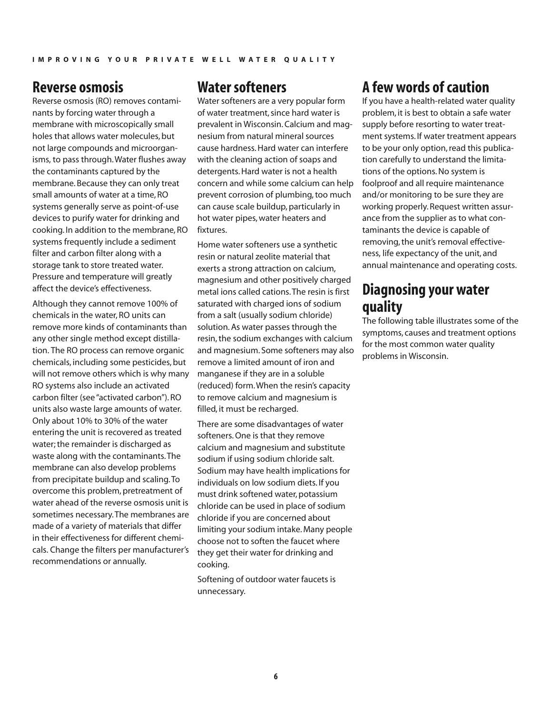#### **Reverse osmosis**

Reverse osmosis (RO) removes contaminants by forcing water through a membrane with microscopically small holes that allows water molecules, but not large compounds and microorganisms, to pass through.Water flushes away the contaminants captured by the membrane. Because they can only treat small amounts of water at a time, RO systems generally serve as point-of-use devices to purify water for drinking and cooking. In addition to the membrane, RO systems frequently include a sediment filter and carbon filter along with a storage tank to store treated water. Pressure and temperature will greatly affect the device's effectiveness.

Although they cannot remove 100% of chemicals in the water, RO units can remove more kinds of contaminants than any other single method except distillation. The RO process can remove organic chemicals, including some pesticides, but will not remove others which is why many RO systems also include an activated carbon filter (see"activated carbon"). RO units also waste large amounts of water. Only about 10% to 30% of the water entering the unit is recovered as treated water;the remainder is discharged as waste along with the contaminants.The membrane can also develop problems from precipitate buildup and scaling.To overcome this problem, pretreatment of water ahead of the reverse osmosis unit is sometimes necessary.The membranes are made of a variety of materials that differ in their effectiveness for different chemicals. Change the filters per manufacturer's recommendations or annually.

#### **Water softeners**

Water softeners are a very popular form of water treatment,since hard water is prevalent in Wisconsin.Calcium and magnesium from natural mineral sources cause hardness.Hard water can interfere with the cleaning action of soaps and detergents.Hard water is not a health concern and while some calcium can help prevent corrosion of plumbing,too much can cause scale buildup, particularly in hot water pipes,water heaters and fixtures.

Home water softeners use a synthetic resin or natural zeolite material that exerts a strong attraction on calcium, magnesium and other positively charged metal ions called cations.The resin is first saturated with charged ions of sodium from a salt (usually sodium chloride) solution.As water passes through the resin, the sodium exchanges with calcium and magnesium. Some softeners may also remove a limited amount of iron and manganese if they are in a soluble (reduced) form.When the resin's capacity to remove calcium and magnesium is filled, it must be recharged.

There are some disadvantages of water softeners.One is that they remove calcium and magnesium and substitute sodium if using sodium chloride salt. Sodium may have health implications for individuals on low sodium diets. If you must drink softened water, potassium chloride can be used in place of sodium chloride if you are concerned about limiting your sodium intake. Many people choose not to soften the faucet where they get their water for drinking and cooking.

Softening of outdoor water faucets is unnecessary.

## **A few words ofcaution**

If you have a health-related water quality problem, it is best to obtain a safe water supply before resorting to water treatment systems. If water treatment appears to be your only option, read this publication carefully to understand the limitations of the options.No system is foolproof and all require maintenance and/or monitoring to be sure they are working properly. Request written assurance from the supplier as to what contaminants the device is capable of removing, the unit's removal effectiveness, life expectancy of the unit, and annual maintenance and operating costs.

## **Diagnosing your water quality**

The following table illustrates some of the symptoms, causes and treatment options for the most common water quality problems in Wisconsin.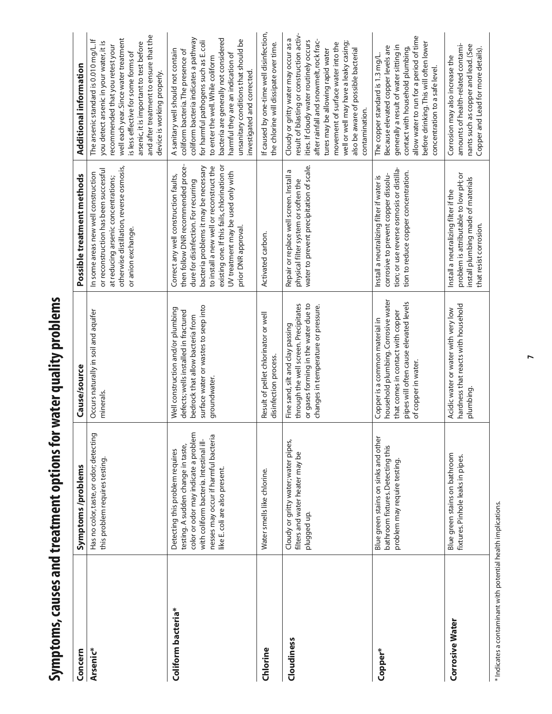| ï<br>うっしょう<br>Γ<br>  D.N.2 D.N.1<br>้ |  |
|---------------------------------------|--|
|                                       |  |
|                                       |  |
|                                       |  |
|                                       |  |
|                                       |  |
|                                       |  |
|                                       |  |
|                                       |  |
|                                       |  |
|                                       |  |
|                                       |  |
|                                       |  |

| Concern                | Symptoms/problems                                                                                                                                                                                                                  | Cause/source                                                                                                                                                                | Possible treatment methods                                                                                                                                                                                                                                                                                            | Additional information                                                                                                                                                                                                                                                                                                                                           |
|------------------------|------------------------------------------------------------------------------------------------------------------------------------------------------------------------------------------------------------------------------------|-----------------------------------------------------------------------------------------------------------------------------------------------------------------------------|-----------------------------------------------------------------------------------------------------------------------------------------------------------------------------------------------------------------------------------------------------------------------------------------------------------------------|------------------------------------------------------------------------------------------------------------------------------------------------------------------------------------------------------------------------------------------------------------------------------------------------------------------------------------------------------------------|
| Arsenic*               | Has no color, taste, or odor; detecting<br>this problem requires testing                                                                                                                                                           | Occurs naturally in soil and aquifer<br>minerals.                                                                                                                           | otherwise distillation, reverse osmosis,<br>or reconstruction has been successful<br>In some areas new well construction<br>at reducing arsenic concentrations;<br>or anion exchange.                                                                                                                                 | and after treatment to ensure that the<br>well each year. Since water treatment<br>The arsenic standard is 0.010 mg/L. If<br>you detect arsenic in your water, it is<br>arsenic, it is important to test before<br>recommended that you retest your<br>is less effective for some forms of<br>device is working properly.                                        |
| Coliform bacteria*     | color or odor may indicate a problem<br>nesses may occur if harmful bacteria<br>with coliform bacteria. Intestinal ill-<br>testing. A sudden change in taste,<br>Detecting this problem requires<br>like E. coli are also present. | surface water or wastes to seep into<br>Well construction and/or plumbing<br>defects; wells installed in fractured<br>bedrock that allow bacteria from<br>groundwater.      | then follow DNR recommended proce-<br>existing one. If this fails, chlorination or<br>to install a new well or reconstruct the<br>bacteria problems it may be necessary<br>UV treatment may be used only with<br>Correct any well construction faults,<br>dure for disinfection. For recurring<br>prior DNR approval. | coliform bacteria indicates a pathway<br>bacteria are generally not considered<br>unsanitary conditions that should be<br>$\overline{5}$<br>A sanitary well should not contain<br>coliform bacteria. The presence of<br>for harmful pathogens such as E.<br>harmful they are an indication of<br>to enter the well. While coliform<br>investigated and corrected |
| Chlorine               | Water smells like chlorine.                                                                                                                                                                                                        | Result of pellet chlorinator or well<br>disinfection process.                                                                                                               | Activated carbon.                                                                                                                                                                                                                                                                                                     | If caused by one-time well disinfection,<br>the chlorine will dissipate over time.                                                                                                                                                                                                                                                                               |
| Cloudiness             | Cloudy or gritty water; water pipes,<br>filters and water heater may be<br>plugged up.                                                                                                                                             | or gases forming in the water due to<br>through the well screen. Precipitates<br>changes in temperature or pressure.<br>Fine sand, silt and clay passing                    | water to prevent precipitation of scale.<br>Б<br>Repair or replace well screen. Install<br>physical filter system or soften the                                                                                                                                                                                       | result of blasting or construction activ-<br>Cloudy or gritty water may occur as a<br>after rainfall and snowmelt, rock frac-<br>ities. If cloudy water routinely occurs<br>well or well may have a leaky casing;<br>movement of surface water into the<br>tures may be allowing rapid water<br>also be aware of possible bacterial<br>contamination.            |
| Copper*                | Blue green stains on sinks and other<br>bathroom fixtures. Detecting this<br>problem may require testing.                                                                                                                          | household plumbing. Corrosive water<br>pipes will often cause elevated levels<br>that comes in contact with copper<br>Copper is a common material in<br>of copper in water. | tion; or use reverse osmosis or distilla-<br>tion to reduce copper concentration.<br>corrosive to prevent copper dissolu-<br>Install a neutralizing filter if water is                                                                                                                                                | allow water to run for a period of time<br>before drinking. This will often lower<br>generally a result of water sitting in<br>Because elevated copper levels are<br>contact with household plumbing,<br>The copper standard is 1.3 mg/L.<br>concentration to a safe level.                                                                                      |
| <b>Corrosive Water</b> | Blue green stains on bathroom<br>fixtures. Pinhole leaks in pipes.                                                                                                                                                                 | hardness that reacts with household<br>Acidic water or water with very low<br>plumbing.                                                                                     | problem is attributable to low pH; or<br>install plumbing made of materials<br>Install a neutralizing filter if the<br>that resist corrosion.                                                                                                                                                                         | amounts of health-related contami-<br>nants such as copper and lead. (See<br>Copper and Lead for more details).<br>Corrosion may also increase the                                                                                                                                                                                                               |

\* Indicates a contaminant with potential health implications. \* Indicates a contaminant with potential health implications.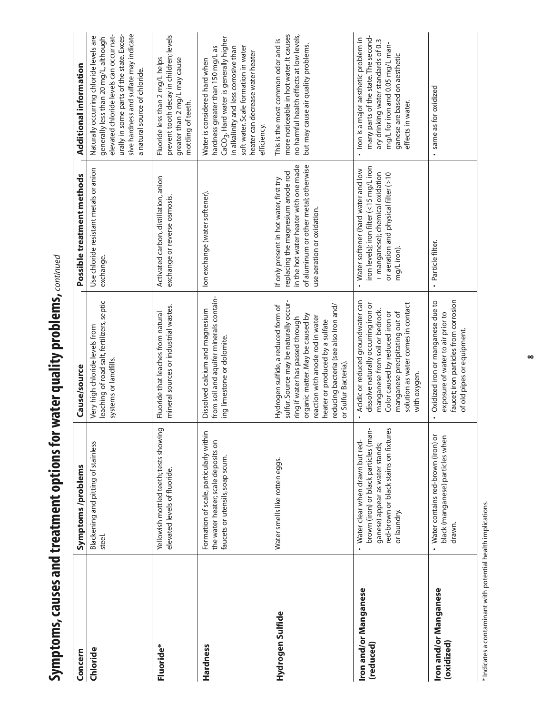| .<br>.<br>.                                                                                       |
|---------------------------------------------------------------------------------------------------|
|                                                                                                   |
| The state of the state and the state<br>;<br>;                                                    |
|                                                                                                   |
| ここり ここりりこ<br>こうくうき こうしょう                                                                          |
| ľ                                                                                                 |
| + <b>マタイ シンシニイン</b>                                                                               |
| $\frac{1}{2}$<br>֦֧֦֦֧֦֧֦֧֦֧֦֧֦֧֦֧֦֧֦֧֦֧֦֧֦֧֦֧֦֧֦֧֦֧֧֧֦֧֦֧֧֦֧֚֚֚֚֬֝֓֓֞֡֓֓֞֡֓֬֓֓֡֓֬֓֓֞֡֓֬֞֓֡֬֬֓֞֓֬ |
|                                                                                                   |

| Concern                             | Symptoms/problems                                                                                                                                                   | Cause/source                                                                                                                                                                                                                                                                                  | Possible treatment methods                                                                                                                                                                   | <b>Additional information</b>                                                                                                                                                                                                                                |
|-------------------------------------|---------------------------------------------------------------------------------------------------------------------------------------------------------------------|-----------------------------------------------------------------------------------------------------------------------------------------------------------------------------------------------------------------------------------------------------------------------------------------------|----------------------------------------------------------------------------------------------------------------------------------------------------------------------------------------------|--------------------------------------------------------------------------------------------------------------------------------------------------------------------------------------------------------------------------------------------------------------|
| Chloride                            | Blackening and pitting of stainless<br>steel.                                                                                                                       | leaching of road salt, fertilizers, septic<br>Very high chloride levels from<br>systems or landfills.                                                                                                                                                                                         | Use chloride resistant metals or anion<br>exchange.                                                                                                                                          | sive hardness and sulfate may indicate<br>elevated chloride levels can occur nat-<br>urally in some parts of the state. Exces-<br>Naturally occurring chloride levels are<br>generally less than 20 mg/L, although<br>a natural source of chloride.          |
| Fluoride*                           | Yellowish mottled teeth; tests showing<br>elevated levels of fluoride.                                                                                              | mineral sources or industrial wastes.<br>Fluoride that leaches from natural                                                                                                                                                                                                                   | Activated carbon, distillation, anion<br>exchange or reverse osmosis.                                                                                                                        | prevent tooth decay in children; levels<br>Fluoride less than 2 mg/L helps<br>greater than 2 mg/L may cause<br>mottling of teeth.                                                                                                                            |
| Hardness                            | Formation of scale, particularly within<br>the water heater; scale deposits on<br>faucets or utensils, soap scum.                                                   | from soil and aquifer minerals contain-<br>Dissolved calcium and magnesium<br>ing limestone or dolomite.                                                                                                                                                                                      | Ion exchange (water softener).                                                                                                                                                               | CaCO <sub>3</sub> . Hard water is generally higher<br>hardness greater than 150 mg/L as<br>in alkalinity and less corrosive than<br>soft water. Scale formation in water<br>heater can decrease water heater<br>Water is considered hard when<br>efficiency. |
| Hydrogen Sulfide                    | Water smells like rotten eggs.                                                                                                                                      | sulfur. Source may be naturally occur-<br>reducing bacteria (see also Iron and/<br>Hydrogen sulfide, a reduced form of<br>organic matter. May be caused by<br>ring if water has passed through<br>reaction with anode rod in water<br>heater or produced by a sulfate<br>or Sulfur Bacteria). | of aluminum or other metal; otherwise<br>in the hot water heater with one made<br>replacing the magnesium anode rod<br>If only present in hot water, first try<br>use aeration or oxidation. | more noticeable in hot water. It causes<br>no harmful health effects at low levels,<br>This is the most common odor and is<br>but may cause air quality problems.                                                                                            |
| Iron and/or Manganese<br>(reduced)  | brown (iron) or black particles (man-<br>red-brown or black stains on fixtures<br>Water clear when drawn but red-<br>ganese) appear as water stands;<br>or laundry. | Acidic or reduced groundwater can<br>solution as water comes in contact<br>dissolve naturally occurring iron or<br>manganese from soil or bedrock.<br>Color caused by reduced iron or<br>manganese precipitating out of<br>with oxygen.                                                       | iron levels); iron filter (<15 mq/L iron<br>Water softener (hard water and low<br>+ manganese); chemical oxidation<br>or aeration and physical filter (>10<br>mg/Liron).                     | many parts of the state. The second-<br>Iron is a major aesthetic problem in<br>ary drinking water standards of 0.3<br>mg/L for iron and 0.05 mg/L man-<br>ganese are based on aesthetic<br>effects in water.                                                |
| Iron and/or Manganese<br>(oxidized) | Water contains red-brown (iron) or<br>black (manganese) particles when<br>drawn.                                                                                    | faucet; iron particles from corrosion<br>Oxidized iron or manganese due to<br>exposure of water to air prior to<br>of old pipes or equipment.                                                                                                                                                 | · Particle filter.                                                                                                                                                                           | same as for oxidized<br>$\bullet$                                                                                                                                                                                                                            |

\* Indicates a contaminant with potential health implications. \* Indicates a contaminant with potential health implications.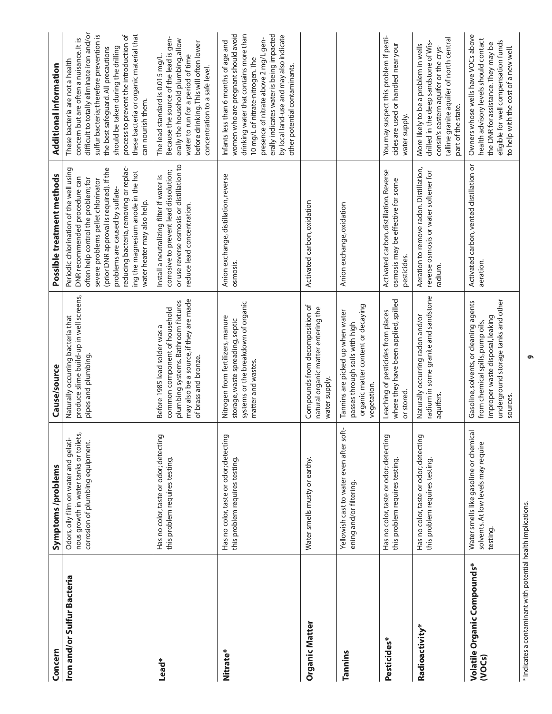| Concern                               | Symptoms/problems                                                                                                   | Cause/source                                                                                                                                                            | Possible treatment methods                                                                                                                                                                                                                                                                                                                          | Additional information                                                                                                                                                                                                                                                                                                                                       |
|---------------------------------------|---------------------------------------------------------------------------------------------------------------------|-------------------------------------------------------------------------------------------------------------------------------------------------------------------------|-----------------------------------------------------------------------------------------------------------------------------------------------------------------------------------------------------------------------------------------------------------------------------------------------------------------------------------------------------|--------------------------------------------------------------------------------------------------------------------------------------------------------------------------------------------------------------------------------------------------------------------------------------------------------------------------------------------------------------|
| Iron and/or Sulfur Bacteria           | nous growth in water tanks or toilets,<br>Odors, oily film on water and gelati-<br>corrosion of plumbing equipment. | produce slime build-up in well screens,<br>Naturally occurring bacteria that<br>pipes and plumbing.                                                                     | reducing bacteria, removing or replac-<br>Periodic chlorination of the well using<br>(prior DNR approval is required). If the<br>ing the magnesium anode in the hot<br>DNR recommended procedure can<br>often help control the problem; for<br>severe problems pellet chlorinator<br>problems are caused by sulfate-<br>water heater may also help. | difficult to totally eliminate iron and/or<br>sulfur bacteria; therefore prevention is<br>these bacteria or organic material that<br>process to prevent the introduction of<br>concern but are often a nuisance. It is<br>should be taken during the drilling<br>the best safeguard. All precautions<br>These bacteria are not a health<br>can nourish them. |
| Lead*                                 | Has no color, taste or odor; detecting<br>this problem requires testing.                                            | may also be a source, if they are made<br>plumbing systems. Bathroom fixtures<br>common component of household<br>Before 1985 lead solder was a<br>of brass and bronze. | or use reverse osmosis or distillation to<br>corrosive to prevent lead dissolution;<br>Install a neutralizing filter if water is<br>reduce lead concentration.                                                                                                                                                                                      | Because the source of the lead is gen-<br>erally the household plumbing, allow<br>before drinking. This will often lower<br>water to run for a period of time<br>The lead standard is 0.015 mg/L.<br>concentration to a safe level.                                                                                                                          |
| Nitrate*                              | Has no color, taste or odor; detecting<br>this problem requires testing.                                            | systems or the breakdown of organic<br>Nitrogen from fertilizers, manure<br>storage, waste spreading, septic<br>matter and wastes.                                      | Anion exchange, distillation, reverse<br>osmosis.                                                                                                                                                                                                                                                                                                   | women who are pregnant should avoid<br>erally indicates water is being impacted<br>drinking water that contains more than<br>by local land-use and may also indicate<br>presence of nitrate above 2 mg/L gen-<br>Infants less than 6 months of age and<br>10 mg/L of nitrate-nitrogen. The<br>other potential contaminants.                                  |
| Organic Matter                        | Water smells musty or earthy.                                                                                       | Compounds from decomposition of<br>natural organic matter entering the<br>water supply.                                                                                 | Activated carbon, oxidation                                                                                                                                                                                                                                                                                                                         |                                                                                                                                                                                                                                                                                                                                                              |
| Tannins                               | Yellowish cast to water even after soft-<br>ening and/or filtering.                                                 | organic matter content or decaying<br>Tannins are picked up when water<br>passes through soils with high<br>vegetation.                                                 | Anion exchange, oxidation                                                                                                                                                                                                                                                                                                                           |                                                                                                                                                                                                                                                                                                                                                              |
| Pesticides*                           | Has no color, taste or odor; detecting<br>this problem requires testing.                                            | where they have been applied, spilled<br>Leaching of pesticides from places<br>or stored                                                                                | Activated carbon, distillation. Reverse<br>osmosis may be effective for some<br>pesticides.                                                                                                                                                                                                                                                         | You may suspect this problem if pesti-<br>cides are used or handled near your<br>water supply.                                                                                                                                                                                                                                                               |
| Radioactivity*                        | Has no color, taste or odor; detecting<br>this problem requires testing.                                            | radium in some granite and sandstone<br>Naturally occurring radon and/or<br>aquifers.                                                                                   | Aeration to remove radon. Distillation,<br>reverse osmosis or water softener for<br>radium.                                                                                                                                                                                                                                                         | talline granite aquifer of north central<br>drilled in the deep sandstone of Wis-<br>More likely to be a problem in wells<br>consin's eastern aquifer or the crys-<br>part of the state.                                                                                                                                                                     |
| Volatile Organic Compounds*<br>(VOCs) | Water smells like gasoline or chemical<br>solvents. At low levels may require<br>testing.                           | underground storage tanks and other<br>Gasoline, solvents, or cleaning agents<br>improper waste disposal, leaking<br>from chemical spills, pump oils,<br>sources.       | Activated carbon, vented distillation or<br>aeration.                                                                                                                                                                                                                                                                                               | Owners whose wells have VOCs above<br>health advisory levels should contact<br>eligible for well compensation funds<br>the DNR for assistance. They may be<br>to help with the cost of a new well.                                                                                                                                                           |

**9**